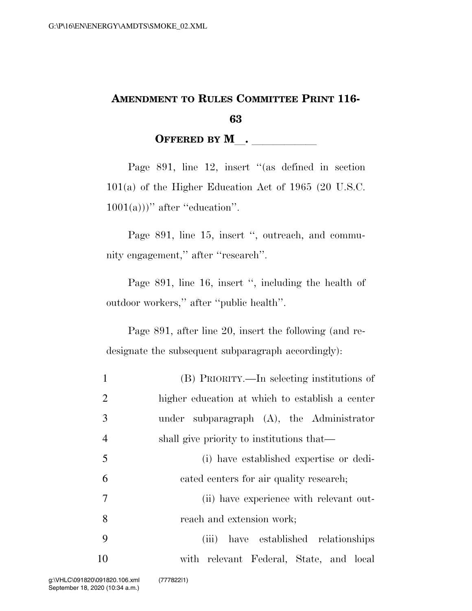## **AMENDMENT TO RULES COMMITTEE PRINT 116- 63**

**OFFERED BY M**.

Page 891, line 12, insert "(as defined in section 101(a) of the Higher Education Act of 1965 (20 U.S.C.  $1001(a))$ <sup>"</sup> after "education".

Page 891, line 15, insert ", outreach, and community engagement,'' after ''research''.

Page 891, line 16, insert ", including the health of outdoor workers,'' after ''public health''.

Page 891, after line 20, insert the following (and redesignate the subsequent subparagraph accordingly):

| $\mathbf{1}$   | (B) PRIORITY.—In selecting institutions of      |
|----------------|-------------------------------------------------|
| 2              | higher education at which to establish a center |
| 3              | under subparagraph $(A)$ , the Administrator    |
| $\overline{4}$ | shall give priority to institutions that—       |
| 5              | (i) have established expertise or dedi-         |
| 6              | cated centers for air quality research;         |
| $\overline{7}$ | (ii) have experience with relevant out-         |
| 8              | reach and extension work;                       |
| 9              | have established relationships<br>(iii)         |
| 10             | with relevant Federal, State, and local         |